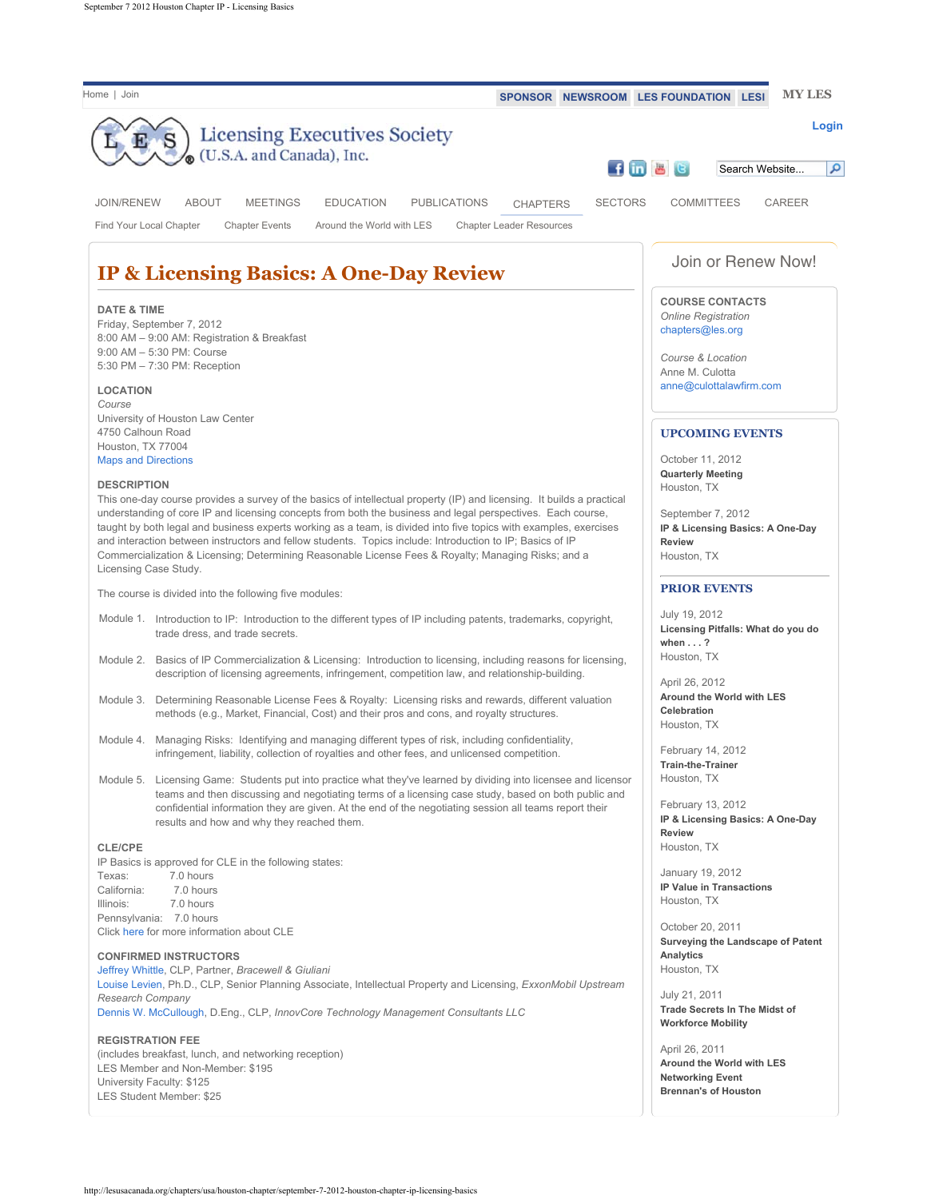| Home   Join<br>SPONSOR NEWSROOM LES FOUNDATION LESI                                                                                                                                                                                                                                                                                                                                                                                                                                                                                                                            | <b>MY LES</b>                                                                         |
|--------------------------------------------------------------------------------------------------------------------------------------------------------------------------------------------------------------------------------------------------------------------------------------------------------------------------------------------------------------------------------------------------------------------------------------------------------------------------------------------------------------------------------------------------------------------------------|---------------------------------------------------------------------------------------|
| <b>Licensing Executives Society</b>                                                                                                                                                                                                                                                                                                                                                                                                                                                                                                                                            | Login                                                                                 |
| (U.S.A. and Canada), Inc.                                                                                                                                                                                                                                                                                                                                                                                                                                                                                                                                                      |                                                                                       |
|                                                                                                                                                                                                                                                                                                                                                                                                                                                                                                                                                                                | f in <b>a B</b><br>م<br>Search Website                                                |
| <b>ABOUT</b><br><b>MEETINGS</b><br><b>EDUCATION</b><br><b>SECTORS</b><br><b>JOIN/RENEW</b><br><b>PUBLICATIONS</b><br><b>CHAPTERS</b>                                                                                                                                                                                                                                                                                                                                                                                                                                           | <b>COMMITTEES</b><br>CAREER                                                           |
| <b>Chapter Events</b><br><b>Chapter Leader Resources</b><br>Find Your Local Chapter<br>Around the World with LES                                                                                                                                                                                                                                                                                                                                                                                                                                                               |                                                                                       |
| <b>IP &amp; Licensing Basics: A One-Day Review</b>                                                                                                                                                                                                                                                                                                                                                                                                                                                                                                                             | Join or Renew Now!                                                                    |
|                                                                                                                                                                                                                                                                                                                                                                                                                                                                                                                                                                                |                                                                                       |
| <b>DATE &amp; TIME</b><br>Friday, September 7, 2012<br>8:00 AM - 9:00 AM: Registration & Breakfast                                                                                                                                                                                                                                                                                                                                                                                                                                                                             | <b>COURSE CONTACTS</b><br>Online Registration<br>chapters@les.org                     |
| 9:00 AM - 5:30 PM: Course<br>5:30 PM - 7:30 PM: Reception                                                                                                                                                                                                                                                                                                                                                                                                                                                                                                                      | Course & Location                                                                     |
|                                                                                                                                                                                                                                                                                                                                                                                                                                                                                                                                                                                | Anne M. Culotta<br>anne@culottalawfirm.com                                            |
| <b>LOCATION</b><br>Course                                                                                                                                                                                                                                                                                                                                                                                                                                                                                                                                                      |                                                                                       |
| University of Houston Law Center<br>4750 Calhoun Road                                                                                                                                                                                                                                                                                                                                                                                                                                                                                                                          | <b>UPCOMING EVENTS</b>                                                                |
| Houston, TX 77004                                                                                                                                                                                                                                                                                                                                                                                                                                                                                                                                                              |                                                                                       |
| <b>Maps and Directions</b>                                                                                                                                                                                                                                                                                                                                                                                                                                                                                                                                                     | October 11, 2012<br><b>Quarterly Meeting</b>                                          |
| <b>DESCRIPTION</b>                                                                                                                                                                                                                                                                                                                                                                                                                                                                                                                                                             | Houston, TX                                                                           |
| This one-day course provides a survey of the basics of intellectual property (IP) and licensing. It builds a practical<br>understanding of core IP and licensing concepts from both the business and legal perspectives. Each course,<br>taught by both legal and business experts working as a team, is divided into five topics with examples, exercises<br>and interaction between instructors and fellow students. Topics include: Introduction to IP; Basics of IP<br>Commercialization & Licensing; Determining Reasonable License Fees & Royalty; Managing Risks; and a | September 7, 2012<br>IP & Licensing Basics: A One-Day<br><b>Review</b><br>Houston, TX |
| Licensing Case Study.                                                                                                                                                                                                                                                                                                                                                                                                                                                                                                                                                          | <b>PRIOR EVENTS</b>                                                                   |
| The course is divided into the following five modules:                                                                                                                                                                                                                                                                                                                                                                                                                                                                                                                         |                                                                                       |
| Module 1. Introduction to IP: Introduction to the different types of IP including patents, trademarks, copyright,<br>trade dress, and trade secrets.                                                                                                                                                                                                                                                                                                                                                                                                                           | July 19, 2012<br>Licensing Pitfalls: What do you do<br>when $\ldots$ ?                |
| Module 2. Basics of IP Commercialization & Licensing: Introduction to licensing, including reasons for licensing,                                                                                                                                                                                                                                                                                                                                                                                                                                                              | Houston, TX                                                                           |
| description of licensing agreements, infringement, competition law, and relationship-building.                                                                                                                                                                                                                                                                                                                                                                                                                                                                                 | April 26, 2012                                                                        |
| Determining Reasonable License Fees & Royalty: Licensing risks and rewards, different valuation<br>Module 3.<br>methods (e.g., Market, Financial, Cost) and their pros and cons, and royalty structures.                                                                                                                                                                                                                                                                                                                                                                       | Around the World with LES<br>Celebration<br>Houston, TX                               |
| Module 4. Managing Risks: Identifying and managing different types of risk, including confidentiality,<br>infringement, liability, collection of royalties and other fees, and unlicensed competition.                                                                                                                                                                                                                                                                                                                                                                         | February 14, 2012<br>Train-the-Trainer                                                |
| Module 5. Licensing Game: Students put into practice what they've learned by dividing into licensee and licensor                                                                                                                                                                                                                                                                                                                                                                                                                                                               | Houston, TX                                                                           |
| teams and then discussing and negotiating terms of a licensing case study, based on both public and<br>confidential information they are given. At the end of the negotiating session all teams report their<br>results and how and why they reached them.                                                                                                                                                                                                                                                                                                                     | February 13, 2012<br>IP & Licensing Basics: A One-Day                                 |
| <b>CLE/CPE</b>                                                                                                                                                                                                                                                                                                                                                                                                                                                                                                                                                                 | <b>Review</b><br>Houston, TX                                                          |
| IP Basics is approved for CLE in the following states:                                                                                                                                                                                                                                                                                                                                                                                                                                                                                                                         | January 19, 2012                                                                      |
| 7.0 hours<br>Texas:<br>California:<br>7.0 hours                                                                                                                                                                                                                                                                                                                                                                                                                                                                                                                                | IP Value in Transactions                                                              |
| Illinois:<br>7.0 hours                                                                                                                                                                                                                                                                                                                                                                                                                                                                                                                                                         | Houston, TX                                                                           |
| Pennsylvania: 7.0 hours<br>Click here for more information about CLE                                                                                                                                                                                                                                                                                                                                                                                                                                                                                                           | October 20, 2011<br>Surveying the Landscape of Patent                                 |
| <b>CONFIRMED INSTRUCTORS</b><br>Jeffrey Whittle, CLP, Partner, Bracewell & Giuliani                                                                                                                                                                                                                                                                                                                                                                                                                                                                                            | Analytics<br>Houston, TX                                                              |
| Louise Levien, Ph.D., CLP, Senior Planning Associate, Intellectual Property and Licensing, ExxonMobil Upstream                                                                                                                                                                                                                                                                                                                                                                                                                                                                 | July 21, 2011                                                                         |
| Research Company<br>Dennis W. McCullough, D.Eng., CLP, InnovCore Technology Management Consultants LLC                                                                                                                                                                                                                                                                                                                                                                                                                                                                         | <b>Trade Secrets In The Midst of</b><br><b>Workforce Mobility</b>                     |
| <b>REGISTRATION FEE</b>                                                                                                                                                                                                                                                                                                                                                                                                                                                                                                                                                        |                                                                                       |
| (includes breakfast, lunch, and networking reception)<br>LES Member and Non-Member: \$195                                                                                                                                                                                                                                                                                                                                                                                                                                                                                      | April 26, 2011<br>Around the World with LES                                           |
| University Faculty: \$125                                                                                                                                                                                                                                                                                                                                                                                                                                                                                                                                                      | <b>Networking Event</b>                                                               |
| LES Student Member: \$25                                                                                                                                                                                                                                                                                                                                                                                                                                                                                                                                                       | <b>Brennan's of Houston</b>                                                           |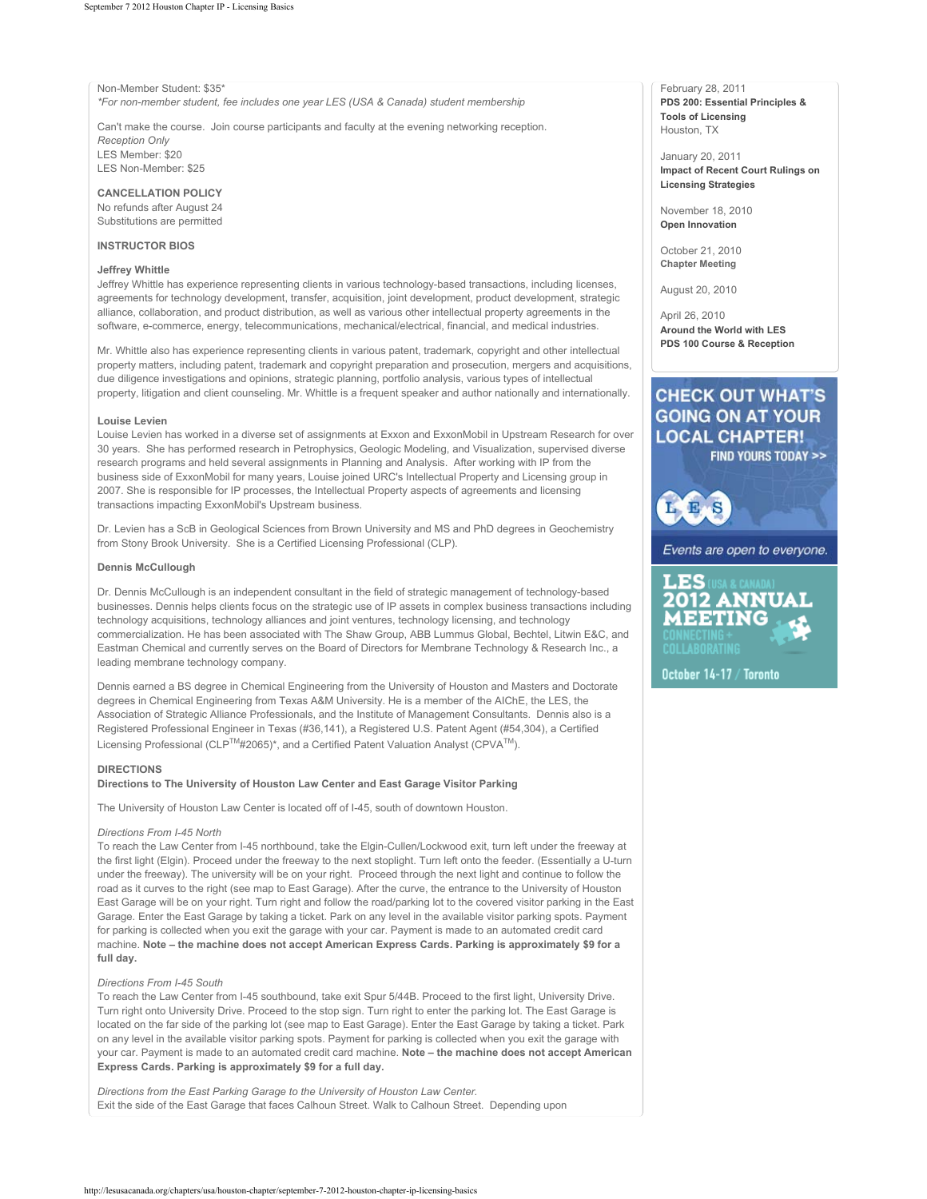Non-Member Student: \$35\*

*\*For non-member student, fee includes one year LES (USA & Canada) student membership*

Can't make the course. Join course participants and faculty at the evening networking reception. *Reception Only* LES Member: \$20

LES Non-Member: \$25

**CANCELLATION POLICY** No refunds after August 24 Substitutions are permitted

#### **INSTRUCTOR BIOS**

#### **Jeffrey Whittle**

Jeffrey Whittle has experience representing clients in various technology-based transactions, including licenses, agreements for technology development, transfer, acquisition, joint development, product development, strategic alliance, collaboration, and product distribution, as well as various other intellectual property agreements in the software, e-commerce, energy, telecommunications, mechanical/electrical, financial, and medical industries.

Mr. Whittle also has experience representing clients in various patent, trademark, copyright and other intellectual property matters, including patent, trademark and copyright preparation and prosecution, mergers and acquisitions, due diligence investigations and opinions, strategic planning, portfolio analysis, various types of intellectual property, litigation and client counseling. Mr. Whittle is a frequent speaker and author nationally and internationally.

#### **Louise Levien**

Louise Levien has worked in a diverse set of assignments at Exxon and ExxonMobil in Upstream Research for over 30 years. She has performed research in Petrophysics, Geologic Modeling, and Visualization, supervised diverse research programs and held several assignments in Planning and Analysis. After working with IP from the business side of ExxonMobil for many years, Louise joined URC's Intellectual Property and Licensing group in 2007. She is responsible for IP processes, the Intellectual Property aspects of agreements and licensing transactions impacting ExxonMobil's Upstream business.

Dr. Levien has a ScB in Geological Sciences from Brown University and MS and PhD degrees in Geochemistry from Stony Brook University. She is a Certified Licensing Professional (CLP).

# **Dennis McCullough**

Dr. Dennis McCullough is an independent consultant in the field of strategic management of technology-based businesses. Dennis helps clients focus on the strategic use of IP assets in complex business transactions including technology acquisitions, technology alliances and joint ventures, technology licensing, and technology commercialization. He has been associated with The Shaw Group, ABB Lummus Global, Bechtel, Litwin E&C, and Eastman Chemical and currently serves on the Board of Directors for Membrane Technology & Research Inc., a leading membrane technology company.

Dennis earned a BS degree in Chemical Engineering from the University of Houston and Masters and Doctorate degrees in Chemical Engineering from Texas A&M University. He is a member of the AIChE, the LES, the Association of Strategic Alliance Professionals, and the Institute of Management Consultants. Dennis also is a Registered Professional Engineer in Texas (#36,141), a Registered U.S. Patent Agent (#54,304), a Certified Licensing Professional (CLP™#2065)\*, and a Certified Patent Valuation Analyst (CPVA™).

#### **DIRECTIONS**

# **Directions to The University of Houston Law Center and East Garage Visitor Parking**

The University of Houston Law Center is located off of I-45, south of downtown Houston.

### *Directions From I-45 North*

To reach the Law Center from I-45 northbound, take the Elgin-Cullen/Lockwood exit, turn left under the freeway at the first light (Elgin). Proceed under the freeway to the next stoplight. Turn left onto the feeder. (Essentially a U-turn under the freeway). The university will be on your right. Proceed through the next light and continue to follow the road as it curves to the right (see map to East Garage). After the curve, the entrance to the University of Houston East Garage will be on your right. Turn right and follow the road/parking lot to the covered visitor parking in the East Garage. Enter the East Garage by taking a ticket. Park on any level in the available visitor parking spots. Payment for parking is collected when you exit the garage with your car. Payment is made to an automated credit card machine. **Note – the machine does not accept American Express Cards. Parking is approximately \$9 for a full day.**

# *Directions From I-45 South*

To reach the Law Center from I-45 southbound, take exit Spur 5/44B. Proceed to the first light, University Drive. Turn right onto University Drive. Proceed to the stop sign. Turn right to enter the parking lot. The East Garage is located on the far side of the parking lot (see map to East Garage). Enter the East Garage by taking a ticket. Park on any level in the available visitor parking spots. Payment for parking is collected when you exit the garage with your car. Payment is made to an automated credit card machine. **Note – the machine does not accept American Express Cards. Parking is approximately \$9 for a full day.**

*Directions from the East Parking Garage to the University of Houston Law Center.*  Exit the side of the East Garage that faces Calhoun Street. Walk to Calhoun Street. Depending upon

February 28, 2011 **PDS 200: Essential Principles & Tools of Licensing** Houston, TX

January 20, 2011 **Impact of Recent Court Rulings on Licensing Strategies**

November 18, 2010 **Open Innovation**

October 21, 2010 **Chapter Meeting** August 20, 2010

April 26, 2010 **Around the World with LES PDS 100 Course & Reception**

# **CHECK OUT WHAT'S GOING ON AT YOUR LOCAL CHAPTER!**

**FIND YOURS TODAY >>** 

L E S

Events are open to everyone.



October 14-17 / Toronto